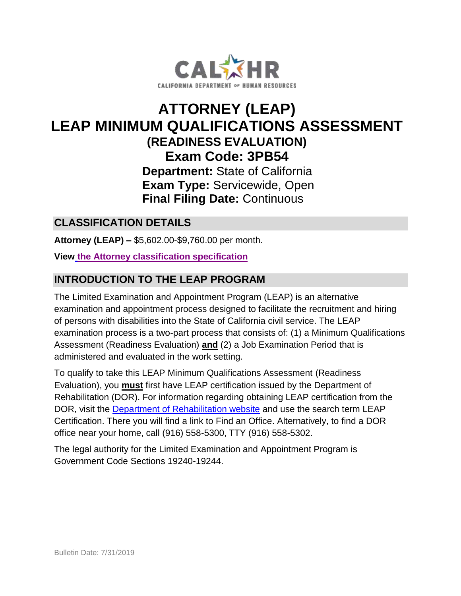

## **ATTORNEY (LEAP) Exam Code: 3PB54 Final Filing Date:** Continuous **LEAP MINIMUM QUALIFICATIONS ASSESSMENT (READINESS EVALUATION) Department:** State of California **Exam Type:** Servicewide, Open

## **CLASSIFICATION DETAILS**

 **Attorney (LEAP) –** \$5,602.00-\$9,760.00 per month.

 **View [the Attorney classification specification](http://www.calhr.ca.gov/state-hr-professionals/pages/5778.aspx)** 

## **INTRODUCTION TO THE LEAP PROGRAM**

 Assessment (Readiness Evaluation) **and** (2) a Job Examination Period that is The Limited Examination and Appointment Program (LEAP) is an alternative examination and appointment process designed to facilitate the recruitment and hiring of persons with disabilities into the State of California civil service. The LEAP examination process is a two-part process that consists of: (1) a Minimum Qualifications administered and evaluated in the work setting.

 Rehabilitation (DOR). For information regarding obtaining LEAP certification from the DOR, visit the [Department of Rehabilitation website](http://www.dor.ca.gov/) and use the search term LEAP office near your home, call (916) 558-5300, TTY (916) 558-5302. To qualify to take this LEAP Minimum Qualifications Assessment (Readiness Evaluation), you **must** first have LEAP certification issued by the Department of Certification. There you will find a link to Find an Office. Alternatively, to find a DOR

The legal authority for the Limited Examination and Appointment Program is Government Code Sections 19240-19244.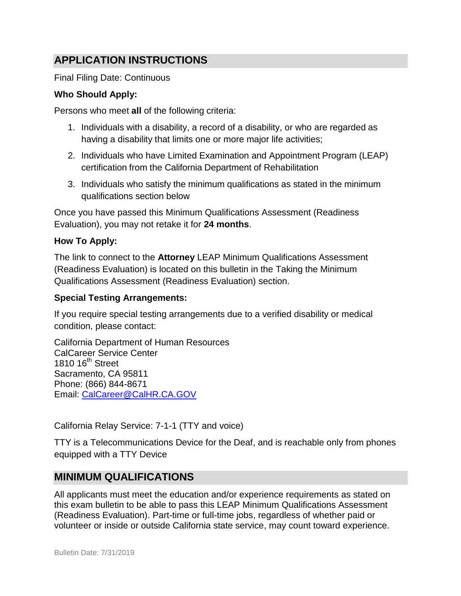## **APPLICATION INSTRUCTIONS**

Final Filing Date: Continuous

#### **Who Should Apply:**

Persons who meet **all** of the following criteria:

- 1. Individuals with a disability, a record of a disability, or who are regarded as having a disability that limits one or more major life activities;
- 2. Individuals who have Limited Examination and Appointment Program (LEAP) certification from the California Department of Rehabilitation
- 3. Individuals who satisfy the minimum qualifications as stated in the minimum qualifications section below

Once you have passed this Minimum Qualifications Assessment (Readiness Evaluation), you may not retake it for **24 months**.

#### **How To Apply:**

 The link to connect to the **Attorney** LEAP Minimum Qualifications Assessment (Readiness Evaluation) is located on this bulletin in the Taking the Minimum Qualifications Assessment (Readiness Evaluation) section.

#### **Special Testing Arrangements:**

If you require special testing arrangements due to a verified disability or medical condition, please contact:

1810 16<sup>th</sup> Street California Department of Human Resources CalCareer Service Center Sacramento, CA 95811 Phone: (866) 844-8671 Email: [CalCareer@CalHR.CA.GOV](mailto:CalCareer@CalHR.CA.GOV) 

California Relay Service: 7-1-1 (TTY and voice)

TTY is a Telecommunications Device for the Deaf, and is reachable only from phones equipped with a TTY Device

#### **MINIMUM QUALIFICATIONS**

 All applicants must meet the education and/or experience requirements as stated on this exam bulletin to be able to pass this LEAP Minimum Qualifications Assessment volunteer or inside or outside California state service, may count toward experience. (Readiness Evaluation). Part-time or full-time jobs, regardless of whether paid or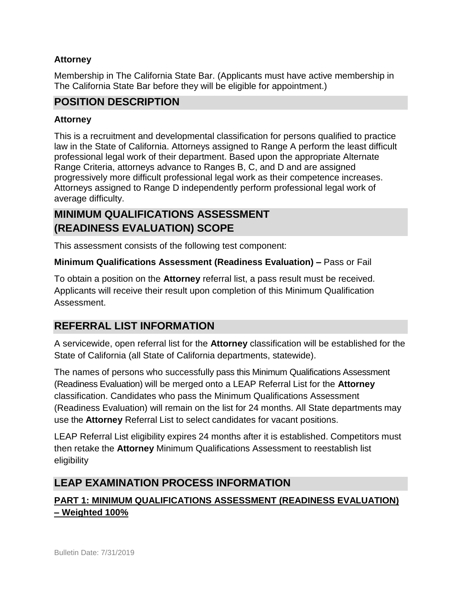#### **Attorney**

Membership in The California State Bar. (Applicants must have active membership in The California State Bar before they will be eligible for appointment.)

## **POSITION DESCRIPTION**

#### **Attorney**

 This is a recruitment and developmental classification for persons qualified to practice law in the State of California. Attorneys assigned to Range A perform the least difficult professional legal work of their department. Based upon the appropriate Alternate Range Criteria, attorneys advance to Ranges B, C, and D and are assigned progressively more difficult professional legal work as their competence increases. Attorneys assigned to Range D independently perform professional legal work of average difficulty.

## **MINIMUM QUALIFICATIONS ASSESSMENT (READINESS EVALUATION) SCOPE**

This assessment consists of the following test component:

#### **Minimum Qualifications Assessment (Readiness Evaluation) –** Pass or Fail

 To obtain a position on the **Attorney** referral list, a pass result must be received. Applicants will receive their result upon completion of this Minimum Qualification Assessment.

## **REFERRAL LIST INFORMATION**

 A servicewide, open referral list for the **Attorney** classification will be established for the State of California (all State of California departments, statewide).

 The names of persons who successfully pass this Minimum Qualifications Assessment (Readiness Evaluation) will be merged onto a LEAP Referral List for the **Attorney**  classification. Candidates who pass the Minimum Qualifications Assessment (Readiness Evaluation) will remain on the list for 24 months. All State departments may use the **Attorney** Referral List to select candidates for vacant positions.

 LEAP Referral List eligibility expires 24 months after it is established. Competitors must then retake the **Attorney** Minimum Qualifications Assessment to reestablish list eligibility

## **LEAP EXAMINATION PROCESS INFORMATION**

## **PART 1: MINIMUM QUALIFICATIONS ASSESSMENT (READINESS EVALUATION) – Weighted 100%**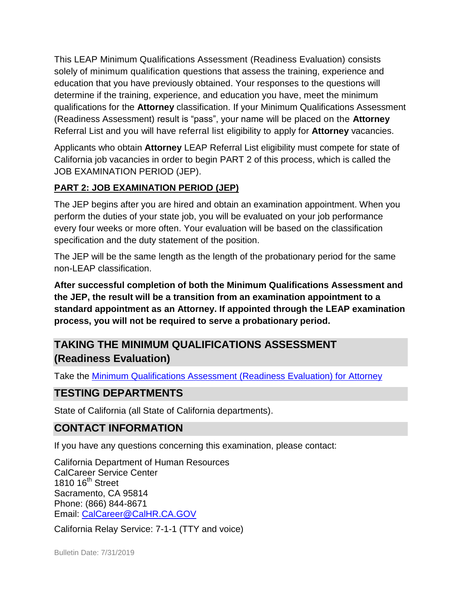This LEAP Minimum Qualifications Assessment (Readiness Evaluation) consists solely of minimum qualification questions that assess the training, experience and determine if the training, experience, and education you have, meet the minimum qualifications for the **Attorney** classification. If your Minimum Qualifications Assessment (Readiness Assessment) result is "pass", your name will be placed on the **Attorney**  Referral List and you will have referral list eligibility to apply for **Attorney** vacancies. education that you have previously obtained. Your responses to the questions will

 Applicants who obtain **Attorney** LEAP Referral List eligibility must compete for state of California job vacancies in order to begin PART 2 of this process, which is called the JOB EXAMINATION PERIOD (JEP).

## **PART 2: JOB EXAMINATION PERIOD (JEP)**

 The JEP begins after you are hired and obtain an examination appointment. When you every four weeks or more often. Your evaluation will be based on the classification specification and the duty statement of the position. perform the duties of your state job, you will be evaluated on your job performance

specification and the duty statement of the position.<br>The JEP will be the same length as the length of the probationary period for the same non-LEAP classification.

 **the JEP, the result will be a transition from an examination appointment to a standard appointment as an Attorney. If appointed through the LEAP examination**  process, you will not be required to serve a probationary period. **After successful completion of both the Minimum Qualifications Assessment and** 

# **process, you will not be required to serve a probationary period. TAKING THE MINIMUM QUALIFICATIONS ASSESSMENT (Readiness Evaluation)**

Take the **Minimum Qualifications Assessment (Readiness Evaluation) for Attorney** 

## **TESTING DEPARTMENTS**

State of California (all State of California departments).

## **CONTACT INFORMATION**

If you have any questions concerning this examination, please contact:

1810 16<sup>th</sup> Street California Department of Human Resources CalCareer Service Center Sacramento, CA 95814 Phone: (866) 844-8671 Email: [CalCareer@CalHR.CA.GOV](mailto:CalCareer@CalHR.CA.GOV) 

California Relay Service: 7-1-1 (TTY and voice)